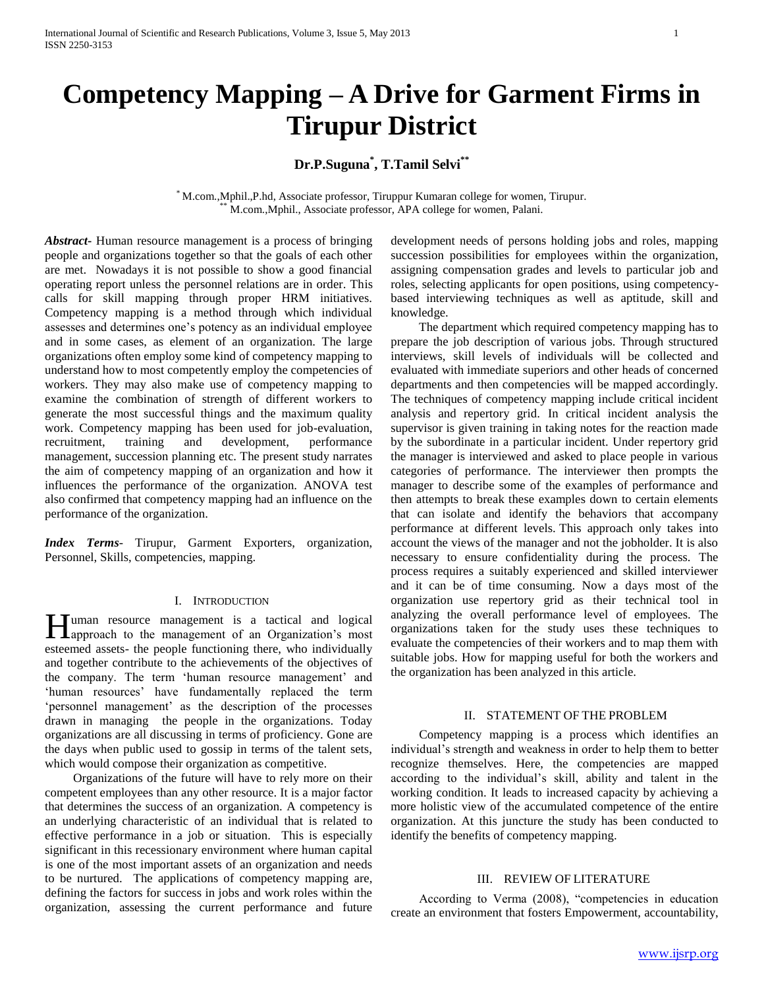# **Competency Mapping – A Drive for Garment Firms in Tirupur District**

# **Dr.P.Suguna\* , T.Tamil Selvi\*\***

\* M.com.,Mphil.,P.hd, Associate professor, Tiruppur Kumaran college for women, Tirupur. M.com.,Mphil., Associate professor, APA college for women, Palani.

*Abstract***-** Human resource management is a process of bringing people and organizations together so that the goals of each other are met. Nowadays it is not possible to show a good financial operating report unless the personnel relations are in order. This calls for skill mapping through proper HRM initiatives. Competency mapping is a method through which individual assesses and determines one's potency as an individual employee and in some cases, as element of an organization. The large organizations often employ some kind of competency mapping to understand how to most competently employ the competencies of workers. They may also make use of competency mapping to examine the combination of strength of different workers to generate the most successful things and the maximum quality work. Competency mapping has been used for job-evaluation, recruitment, training and development, performance management, succession planning etc. The present study narrates the aim of competency mapping of an organization and how it influences the performance of the organization. ANOVA test also confirmed that competency mapping had an influence on the performance of the organization.

*Index Terms*- Tirupur, Garment Exporters, organization, Personnel, Skills, competencies, mapping.

#### I. INTRODUCTION

**Tuman** resource management is a tactical and logical Human resource management is a tactical and logical approach to the management of an Organization's most esteemed assets- the people functioning there, who individually and together contribute to the achievements of the objectives of the company. The term 'human resource management' and 'human resources' have fundamentally replaced the term 'personnel management' as the description of the processes drawn in managing the people in the organizations. Today organizations are all discussing in terms of proficiency. Gone are the days when public used to gossip in terms of the talent sets, which would compose their organization as competitive.

 Organizations of the future will have to rely more on their competent employees than any other resource. It is a major factor that determines the success of an organization. A competency is an underlying characteristic of an individual that is related to effective performance in a job or situation. This is especially significant in this recessionary environment where human capital is one of the most important assets of an organization and needs to be nurtured. The applications of competency mapping are, defining the factors for success in jobs and work roles within the organization, assessing the current performance and future development needs of persons holding jobs and roles, mapping succession possibilities for employees within the organization, assigning compensation grades and levels to particular job and roles, selecting applicants for open positions, using competencybased interviewing techniques as well as aptitude, skill and knowledge.

 The department which required competency mapping has to prepare the job description of various jobs. Through structured interviews, skill levels of individuals will be collected and evaluated with immediate superiors and other heads of concerned departments and then competencies will be mapped accordingly. The techniques of competency mapping include critical incident analysis and repertory grid. In critical incident analysis the supervisor is given training in taking notes for the reaction made by the subordinate in a particular incident. Under repertory grid the manager is interviewed and asked to place people in various categories of performance. The interviewer then prompts the manager to describe some of the examples of performance and then attempts to break these examples down to certain elements that can isolate and identify the behaviors that accompany performance at different levels. This approach only takes into account the views of the manager and not the jobholder. It is also necessary to ensure confidentiality during the process. The process requires a suitably experienced and skilled interviewer and it can be of time consuming. Now a days most of the organization use repertory grid as their technical tool in analyzing the overall performance level of employees. The organizations taken for the study uses these techniques to evaluate the competencies of their workers and to map them with suitable jobs. How for mapping useful for both the workers and the organization has been analyzed in this article.

#### II. STATEMENT OF THE PROBLEM

 Competency mapping is a process which identifies an individual's strength and weakness in order to help them to better recognize themselves. Here, the competencies are mapped according to the individual's skill, ability and talent in the working condition. It leads to increased capacity by achieving a more holistic view of the accumulated competence of the entire organization. At this juncture the study has been conducted to identify the benefits of competency mapping.

#### III. REVIEW OF LITERATURE

 According to Verma (2008), "competencies in education create an environment that fosters Empowerment, accountability,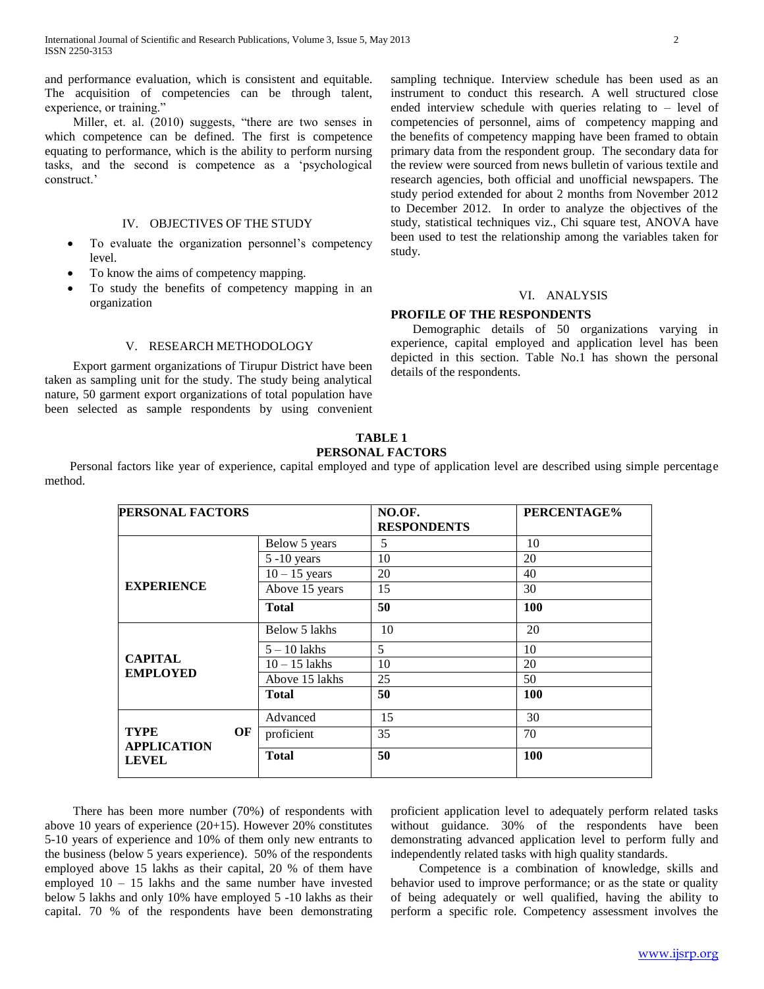and performance evaluation, which is consistent and equitable. The acquisition of competencies can be through talent, experience, or training."

 Miller, et. al. (2010) suggests, "there are two senses in which competence can be defined. The first is competence equating to performance, which is the ability to perform nursing tasks, and the second is competence as a 'psychological construct.'

#### IV. OBJECTIVES OF THE STUDY

- To evaluate the organization personnel's competency level.
- To know the aims of competency mapping.
- To study the benefits of competency mapping in an organization

#### V. RESEARCH METHODOLOGY

 Export garment organizations of Tirupur District have been taken as sampling unit for the study. The study being analytical nature, 50 garment export organizations of total population have been selected as sample respondents by using convenient sampling technique. Interview schedule has been used as an instrument to conduct this research. A well structured close ended interview schedule with queries relating to – level of competencies of personnel, aims of competency mapping and the benefits of competency mapping have been framed to obtain primary data from the respondent group. The secondary data for the review were sourced from news bulletin of various textile and research agencies, both official and unofficial newspapers. The study period extended for about 2 months from November 2012 to December 2012. In order to analyze the objectives of the study, statistical techniques viz., Chi square test, ANOVA have been used to test the relationship among the variables taken for study.

#### VI. ANALYSIS

#### **PROFILE OF THE RESPONDENTS**

 Demographic details of 50 organizations varying in experience, capital employed and application level has been depicted in this section. Table No.1 has shown the personal details of the respondents.

#### **TABLE 1 PERSONAL FACTORS**

 Personal factors like year of experience, capital employed and type of application level are described using simple percentage method.

| PERSONAL FACTORS                  |    |                       | NO.OF.<br><b>RESPONDENTS</b> | PERCENTAGE% |  |
|-----------------------------------|----|-----------------------|------------------------------|-------------|--|
|                                   |    | Below 5 years         | 5                            | 10          |  |
|                                   |    | $5 - 10$ years        | 10                           | 20          |  |
|                                   |    | $10 - 15$ years<br>20 |                              | 40          |  |
| <b>EXPERIENCE</b>                 |    | Above 15 years        | 15                           | 30          |  |
|                                   |    | <b>Total</b>          | 50                           | 100         |  |
|                                   |    | Below 5 lakhs         | 10                           | 20          |  |
|                                   |    | $5 - 10$ lakhs        | 5                            | 10          |  |
| <b>CAPITAL</b>                    |    | $10 - 15$ lakhs       | 10                           | 20          |  |
| <b>EMPLOYED</b>                   |    | Above 15 lakhs        | 25                           | 50          |  |
|                                   |    | <b>Total</b>          | 50                           | <b>100</b>  |  |
|                                   |    | Advanced              | 15                           | 30          |  |
| <b>TYPE</b><br><b>APPLICATION</b> | OF | proficient            | 35                           | 70          |  |
| <b>LEVEL</b>                      |    | <b>Total</b>          | 50                           | <b>100</b>  |  |

 There has been more number (70%) of respondents with above 10 years of experience (20+15). However 20% constitutes 5-10 years of experience and 10% of them only new entrants to the business (below 5 years experience). 50% of the respondents employed above 15 lakhs as their capital, 20 % of them have employed 10 – 15 lakhs and the same number have invested below 5 lakhs and only 10% have employed 5 -10 lakhs as their capital. 70 % of the respondents have been demonstrating

proficient application level to adequately perform related tasks without guidance. 30% of the respondents have been demonstrating advanced application level to perform fully and independently related tasks with high quality standards.

 Competence is a combination of knowledge, skills and behavior used to improve performance; or as the state or quality of being adequately or well qualified, having the ability to perform a specific role. Competency assessment involves the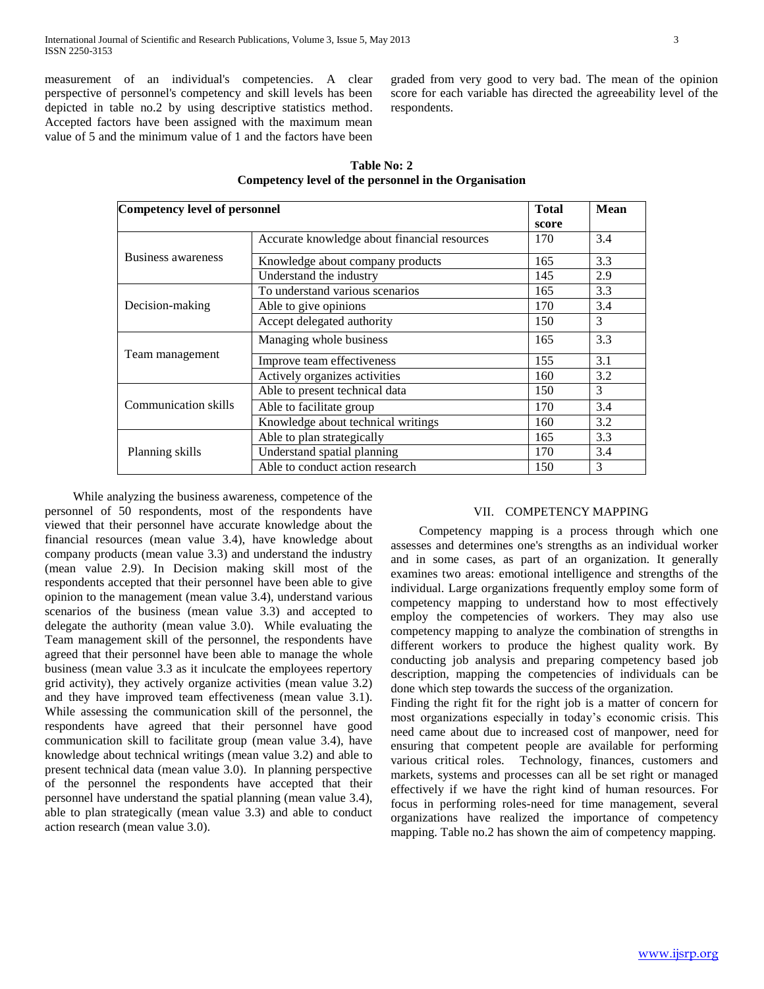measurement of an individual's competencies. A clear perspective of personnel's competency and skill levels has been depicted in table no.2 by using descriptive statistics method. Accepted factors have been assigned with the maximum mean value of 5 and the minimum value of 1 and the factors have been graded from very good to very bad. The mean of the opinion score for each variable has directed the agreeability level of the respondents.

| Table No: 2                                           |  |  |  |  |  |  |  |
|-------------------------------------------------------|--|--|--|--|--|--|--|
| Competency level of the personnel in the Organisation |  |  |  |  |  |  |  |

| Competency level of personnel | <b>Total</b>                                 | <b>Mean</b> |     |
|-------------------------------|----------------------------------------------|-------------|-----|
|                               |                                              | score       |     |
|                               | Accurate knowledge about financial resources | 170         | 3.4 |
| Business awareness            | Knowledge about company products             | 165         | 3.3 |
|                               | Understand the industry                      | 145         | 2.9 |
|                               | To understand various scenarios              | 165         | 3.3 |
| Decision-making               | Able to give opinions                        | 170         | 3.4 |
|                               | Accept delegated authority                   | 150         | 3   |
|                               | Managing whole business                      | 165         | 3.3 |
| Team management               | Improve team effectiveness                   | 155         | 3.1 |
|                               | Actively organizes activities                | 160         | 3.2 |
|                               | Able to present technical data               | 150         | 3   |
| Communication skills          | Able to facilitate group                     | 170         | 3.4 |
|                               | Knowledge about technical writings           | 160         | 3.2 |
|                               | Able to plan strategically                   | 165         | 3.3 |
| Planning skills               | Understand spatial planning                  | 170         | 3.4 |
|                               | Able to conduct action research              | 150         | 3   |

 While analyzing the business awareness, competence of the personnel of 50 respondents, most of the respondents have viewed that their personnel have accurate knowledge about the financial resources (mean value 3.4), have knowledge about company products (mean value 3.3) and understand the industry (mean value 2.9). In Decision making skill most of the respondents accepted that their personnel have been able to give opinion to the management (mean value 3.4), understand various scenarios of the business (mean value 3.3) and accepted to delegate the authority (mean value 3.0). While evaluating the Team management skill of the personnel, the respondents have agreed that their personnel have been able to manage the whole business (mean value 3.3 as it inculcate the employees repertory grid activity), they actively organize activities (mean value 3.2) and they have improved team effectiveness (mean value 3.1). While assessing the communication skill of the personnel, the respondents have agreed that their personnel have good communication skill to facilitate group (mean value 3.4), have knowledge about technical writings (mean value 3.2) and able to present technical data (mean value 3.0). In planning perspective of the personnel the respondents have accepted that their personnel have understand the spatial planning (mean value 3.4), able to plan strategically (mean value 3.3) and able to conduct action research (mean value 3.0).

#### VII. COMPETENCY MAPPING

 Competency mapping is a process through which one assesses and determines one's strengths as an individual worker and in some cases, as part of an organization. It generally examines two areas: emotional intelligence and strengths of the individual. Large organizations frequently employ some form of competency mapping to understand how to most effectively employ the competencies of workers. They may also use competency mapping to analyze the combination of strengths in different workers to produce the highest quality work. By conducting job analysis and preparing competency based job description, mapping the competencies of individuals can be done which step towards the success of the organization.

Finding the right fit for the right job is a matter of concern for most organizations especially in today's economic crisis. This need came about due to increased cost of manpower, need for ensuring that competent people are available for performing various critical roles. Technology, finances, customers and markets, systems and processes can all be set right or managed effectively if we have the right kind of human resources. For focus in performing roles-need for time management, several organizations have realized the importance of competency mapping. Table no.2 has shown the aim of competency mapping.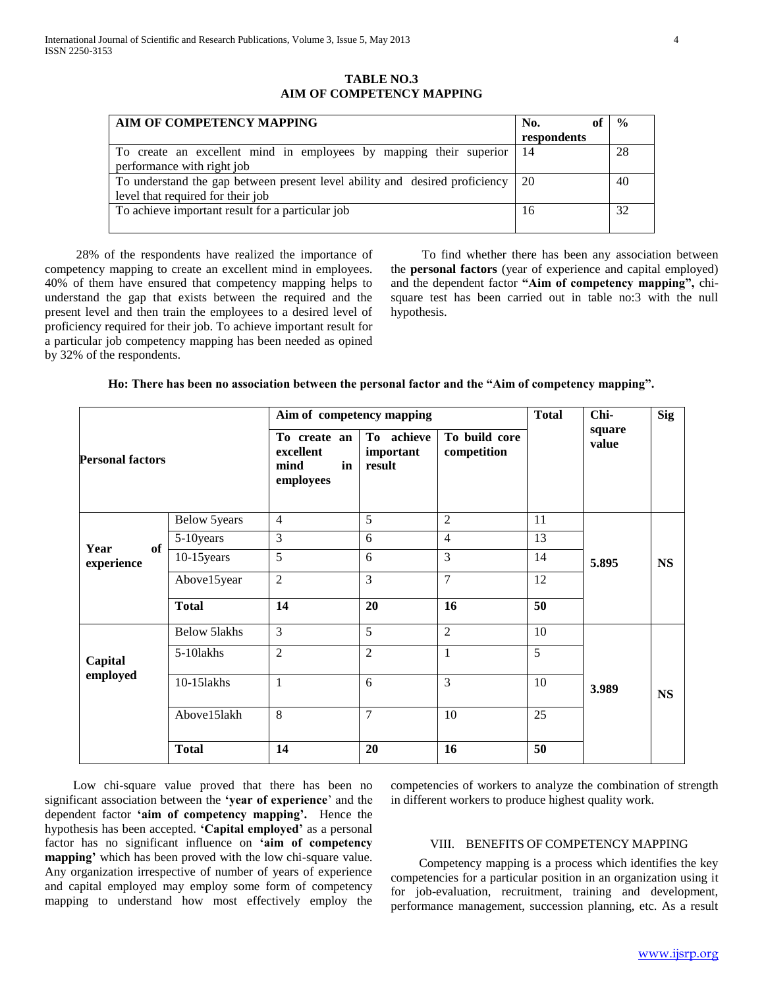**TABLE NO.3 AIM OF COMPETENCY MAPPING**

| AIM OF COMPETENCY MAPPING                                                   | No.         | $\frac{0}{0}$ |
|-----------------------------------------------------------------------------|-------------|---------------|
|                                                                             | respondents |               |
| To create an excellent mind in employees by mapping their superior          | 14          | -28           |
| performance with right job                                                  |             |               |
| To understand the gap between present level ability and desired proficiency | 20          | 40            |
| level that required for their job                                           |             |               |
| To achieve important result for a particular job                            | 16          | 32            |
|                                                                             |             |               |

 28% of the respondents have realized the importance of competency mapping to create an excellent mind in employees. 40% of them have ensured that competency mapping helps to understand the gap that exists between the required and the present level and then train the employees to a desired level of proficiency required for their job. To achieve important result for a particular job competency mapping has been needed as opined by 32% of the respondents.

 To find whether there has been any association between the **personal factors** (year of experience and capital employed) and the dependent factor **"Aim of competency mapping",** chisquare test has been carried out in table no:3 with the null hypothesis.

|                          |                     | Aim of competency mapping                            | <b>Total</b>                      | Chi-                         | <b>Sig</b> |                 |           |
|--------------------------|---------------------|------------------------------------------------------|-----------------------------------|------------------------------|------------|-----------------|-----------|
| <b>Personal factors</b>  |                     | To create an<br>excellent<br>in<br>mind<br>employees | To achieve<br>important<br>result | To build core<br>competition |            | square<br>value |           |
|                          | Below 5years        | $\overline{4}$                                       | 5                                 | $\overline{2}$               | 11         |                 |           |
|                          | 5-10 years          | 3                                                    | 6                                 | $\overline{4}$               | 13         |                 |           |
| Year<br>of<br>experience | $10-15$ years       | 5                                                    | 6                                 | $\overline{3}$               | 14         | 5.895           | <b>NS</b> |
|                          | Above15year         | $\overline{2}$                                       | 3                                 | $\overline{7}$               | 12         |                 |           |
|                          | <b>Total</b>        | 14                                                   | 20                                | 16                           | 50         |                 |           |
|                          | <b>Below 5lakhs</b> | 3                                                    | $\overline{5}$                    | $\overline{2}$               | 10         |                 |           |
| Capital                  | 5-10lakhs           | $\overline{2}$                                       | $\overline{2}$                    | $\mathbf{1}$                 | 5          |                 |           |
| employed                 | 10-151akhs          | $\mathbf{1}$                                         | 6                                 | 3                            | 10         | 3.989           | <b>NS</b> |
|                          | Above15lakh         | 8                                                    | $\overline{7}$                    | 10                           | 25         |                 |           |
|                          | <b>Total</b>        | 14                                                   | 20                                | 16                           | 50         |                 |           |

 Low chi-square value proved that there has been no significant association between the **'year of experience**' and the dependent factor **'aim of competency mapping'.** Hence the hypothesis has been accepted. **'Capital employed'** as a personal factor has no significant influence on **'aim of competency mapping'** which has been proved with the low chi-square value. Any organization irrespective of number of years of experience and capital employed may employ some form of competency mapping to understand how most effectively employ the competencies of workers to analyze the combination of strength in different workers to produce highest quality work.

#### VIII. BENEFITS OF COMPETENCY MAPPING

 Competency mapping is a process which identifies the key competencies for a particular position in an organization using it for job-evaluation, recruitment, training and development, performance management, succession planning, etc. As a result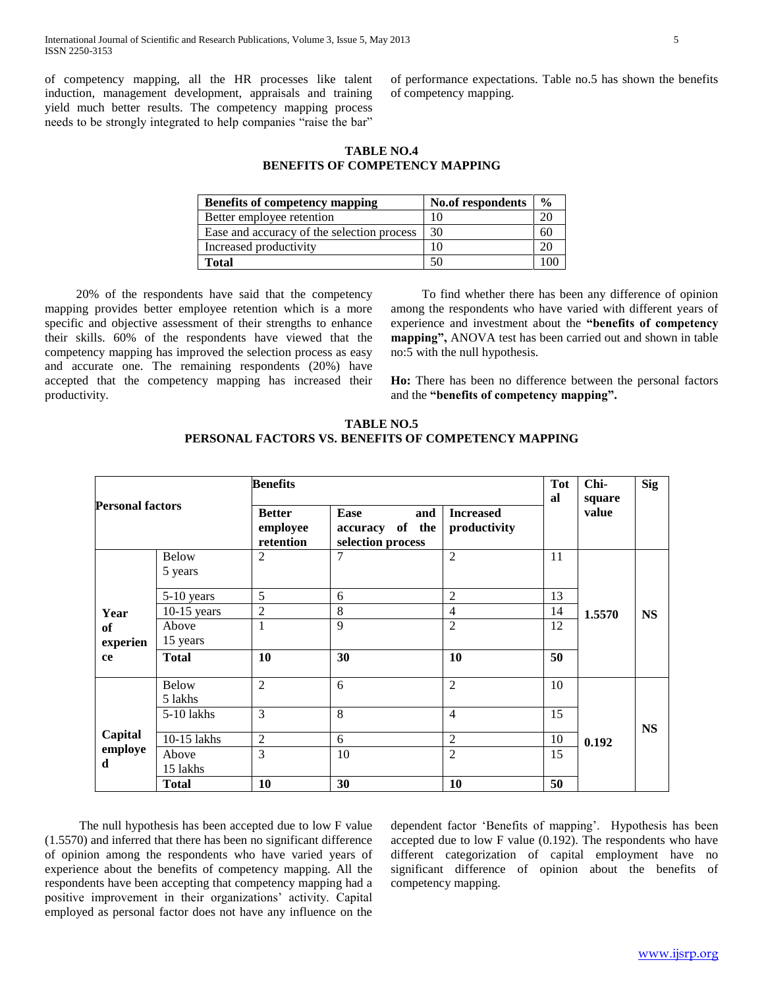of competency mapping, all the HR processes like talent induction, management development, appraisals and training yield much better results. The competency mapping process needs to be strongly integrated to help companies "raise the bar"

of performance expectations. Table no.5 has shown the benefits of competency mapping.

## **TABLE NO.4 BENEFITS OF COMPETENCY MAPPING**

| <b>Benefits of competency mapping</b>      | No.of respondents | $\frac{0}{0}$ |
|--------------------------------------------|-------------------|---------------|
| Better employee retention                  |                   | 20            |
| Ease and accuracy of the selection process | 30                | 60            |
| Increased productivity                     |                   | 20            |
| Total                                      | 50                |               |

 20% of the respondents have said that the competency mapping provides better employee retention which is a more specific and objective assessment of their strengths to enhance their skills. 60% of the respondents have viewed that the competency mapping has improved the selection process as easy and accurate one. The remaining respondents (20%) have accepted that the competency mapping has increased their productivity.

 To find whether there has been any difference of opinion among the respondents who have varied with different years of experience and investment about the **"benefits of competency mapping",** ANOVA test has been carried out and shown in table no:5 with the null hypothesis.

**Ho:** There has been no difference between the personal factors and the **"benefits of competency mapping".**

| <b>Personal factors</b> |                         | <b>Benefits</b>                                                                               |        |                                  |    | Chi-<br>square | <b>Sig</b> |
|-------------------------|-------------------------|-----------------------------------------------------------------------------------------------|--------|----------------------------------|----|----------------|------------|
|                         |                         | <b>Better</b><br>Ease<br>and<br>employee<br>accuracy of the<br>retention<br>selection process |        | <b>Increased</b><br>productivity | al | value          |            |
|                         | <b>Below</b><br>5 years | $\overline{2}$                                                                                | $\tau$ | $\overline{2}$                   | 11 |                |            |
|                         | 5-10 years              | 5                                                                                             | 6      | $\overline{2}$                   | 13 |                |            |
| Year                    | $10-15$ years           | $\overline{2}$                                                                                | 8      | $\overline{4}$                   | 14 | 1.5570         | <b>NS</b>  |
| of                      | Above                   | $\mathbf{1}$                                                                                  | 9      | $\overline{2}$                   | 12 |                |            |
| experien                | 15 years                |                                                                                               |        |                                  |    |                |            |
| ce                      | <b>Total</b>            | 10                                                                                            | 30     | 10                               | 50 |                |            |
|                         | <b>Below</b><br>5 lakhs | $\overline{2}$                                                                                | 6      | $\overline{2}$                   | 10 |                |            |
|                         | 5-10 lakhs              | 3                                                                                             | 8      | $\overline{4}$                   | 15 |                | <b>NS</b>  |
| Capital                 | 10-15 lakhs             | $\overline{2}$                                                                                | 6      | $\overline{2}$                   | 10 | 0.192          |            |
| employe<br>d            | Above                   | 3                                                                                             | 10     | $\overline{2}$                   | 15 |                |            |
|                         | 15 lakhs                |                                                                                               |        |                                  |    |                |            |
|                         | <b>Total</b>            | 10                                                                                            | 30     | 10                               | 50 |                |            |

### **TABLE NO.5 PERSONAL FACTORS VS. BENEFITS OF COMPETENCY MAPPING**

 The null hypothesis has been accepted due to low F value (1.5570) and inferred that there has been no significant difference of opinion among the respondents who have varied years of experience about the benefits of competency mapping. All the respondents have been accepting that competency mapping had a positive improvement in their organizations' activity. Capital employed as personal factor does not have any influence on the

dependent factor 'Benefits of mapping'. Hypothesis has been accepted due to low F value (0.192). The respondents who have different categorization of capital employment have no significant difference of opinion about the benefits of competency mapping.